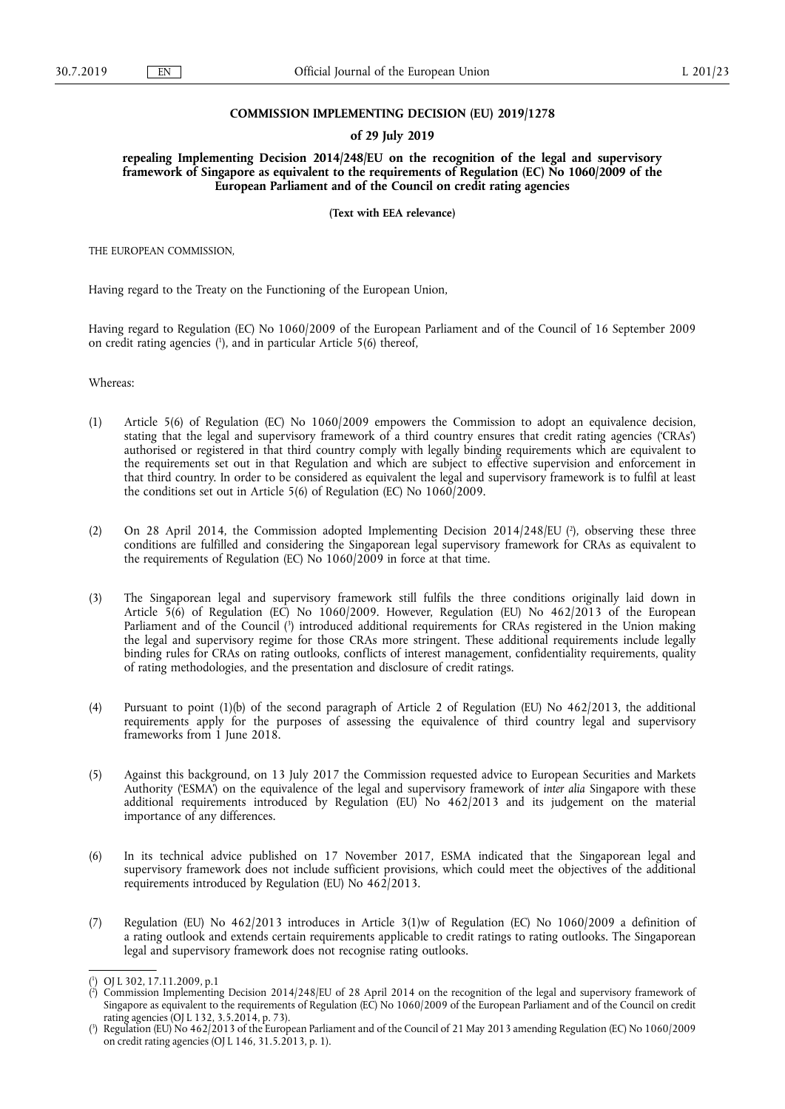## **COMMISSION IMPLEMENTING DECISION (EU) 2019/1278**

## **of 29 July 2019**

**repealing Implementing Decision 2014/248/EU on the recognition of the legal and supervisory framework of Singapore as equivalent to the requirements of Regulation (EC) No 1060/2009 of the European Parliament and of the Council on credit rating agencies** 

**(Text with EEA relevance)** 

THE EUROPEAN COMMISSION,

Having regard to the Treaty on the Functioning of the European Union,

Having regard to Regulation (EC) No 1060/2009 of the European Parliament and of the Council of 16 September 2009 on credit rating agencies ( 1 ), and in particular Article 5(6) thereof,

Whereas:

- (1) Article 5(6) of Regulation (EC) No 1060/2009 empowers the Commission to adopt an equivalence decision, stating that the legal and supervisory framework of a third country ensures that credit rating agencies ('CRAs') authorised or registered in that third country comply with legally binding requirements which are equivalent to the requirements set out in that Regulation and which are subject to effective supervision and enforcement in that third country. In order to be considered as equivalent the legal and supervisory framework is to fulfil at least the conditions set out in Article 5(6) of Regulation (EC) No 1060/2009.
- (2) On 28 April 2014, the Commission adopted Implementing Decision 2014/248/EU ( $\degree$ ), observing these three conditions are fulfilled and considering the Singaporean legal supervisory framework for CRAs as equivalent to the requirements of Regulation (EC) No  $1060/2009$  in force at that time.
- (3) The Singaporean legal and supervisory framework still fulfils the three conditions originally laid down in Article 5(6) of Regulation (EC) No 1060/2009. However, Regulation (EU) No 462/2013 of the European Parliament and of the Council ( 3 ) introduced additional requirements for CRAs registered in the Union making the legal and supervisory regime for those CRAs more stringent. These additional requirements include legally binding rules for CRAs on rating outlooks, conflicts of interest management, confidentiality requirements, quality of rating methodologies, and the presentation and disclosure of credit ratings.
- (4) Pursuant to point (1)(b) of the second paragraph of Article 2 of Regulation (EU) No 462/2013, the additional requirements apply for the purposes of assessing the equivalence of third country legal and supervisory frameworks from 1 June 2018.
- (5) Against this background, on 13 July 2017 the Commission requested advice to European Securities and Markets Authority ('ESMA') on the equivalence of the legal and supervisory framework of *inter alia* Singapore with these additional requirements introduced by Regulation (EU) No 462/2013 and its judgement on the material importance of any differences.
- (6) In its technical advice published on 17 November 2017, ESMA indicated that the Singaporean legal and supervisory framework does not include sufficient provisions, which could meet the objectives of the additional requirements introduced by Regulation (EU) No 462/2013.
- (7) Regulation (EU) No 462/2013 introduces in Article 3(1)w of Regulation (EC) No 1060/2009 a definition of a rating outlook and extends certain requirements applicable to credit ratings to rating outlooks. The Singaporean legal and supervisory framework does not recognise rating outlooks.

<sup>(</sup> 1 ) OJ L 302, 17.11.2009, p.1

<sup>(</sup> 2 ) Commission Implementing Decision 2014/248/EU of 28 April 2014 on the recognition of the legal and supervisory framework of Singapore as equivalent to the requirements of Regulation (EC) No 1060/2009 of the European Parliament and of the Council on credit rating agencies (OJ L 132, 3.5.2014, p. 73).

<sup>(</sup> 3 ) Regulation (EU) No 462/2013 of the European Parliament and of the Council of 21 May 2013 amending Regulation (EC) No 1060/2009 on credit rating agencies (OJ L 146, 31.5.2013, p. 1).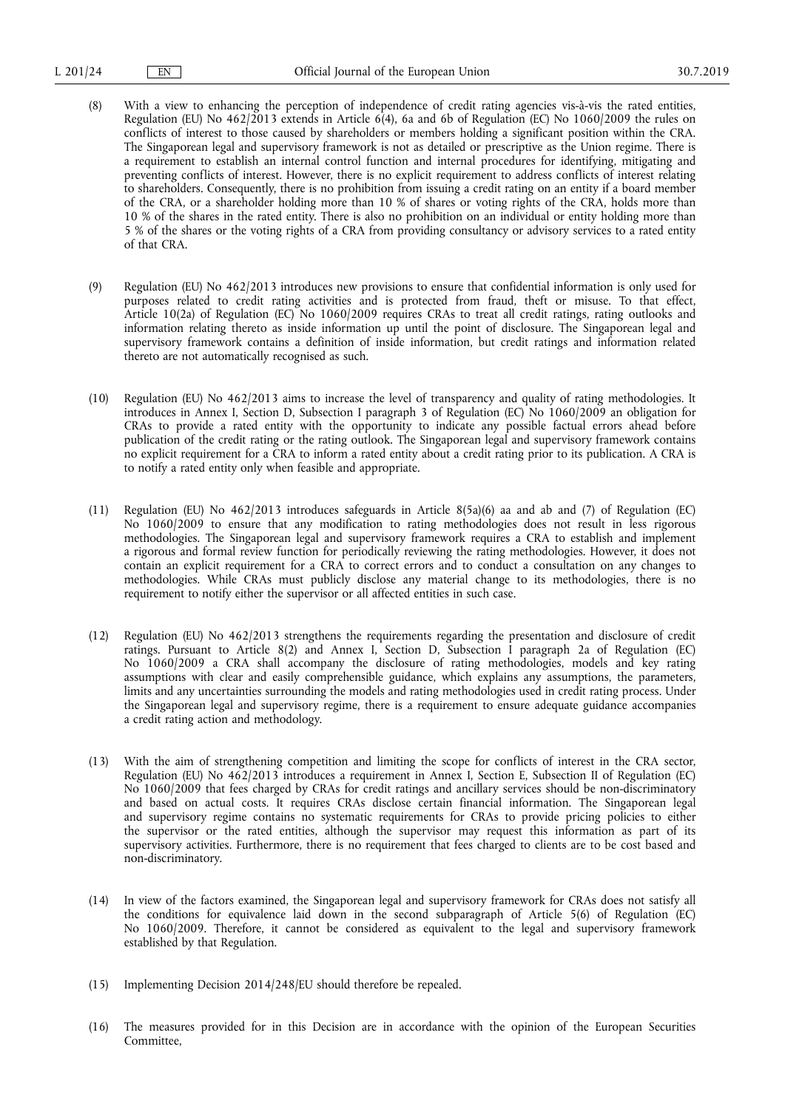- (8) With a view to enhancing the perception of independence of credit rating agencies vis-à-vis the rated entities, Regulation (EU) No 462/2013 extends in Article 6(4), 6a and 6b of Regulation (EC) No 1060/2009 the rules on conflicts of interest to those caused by shareholders or members holding a significant position within the CRA. The Singaporean legal and supervisory framework is not as detailed or prescriptive as the Union regime. There is a requirement to establish an internal control function and internal procedures for identifying, mitigating and preventing conflicts of interest. However, there is no explicit requirement to address conflicts of interest relating to shareholders. Consequently, there is no prohibition from issuing a credit rating on an entity if a board member of the CRA, or a shareholder holding more than 10 % of shares or voting rights of the CRA, holds more than 10 % of the shares in the rated entity. There is also no prohibition on an individual or entity holding more than 5 % of the shares or the voting rights of a CRA from providing consultancy or advisory services to a rated entity of that CRA.
- (9) Regulation (EU) No 462/2013 introduces new provisions to ensure that confidential information is only used for purposes related to credit rating activities and is protected from fraud, theft or misuse. To that effect, Article 10(2a) of Regulation (EC) No 1060/2009 requires CRAs to treat all credit ratings, rating outlooks and information relating thereto as inside information up until the point of disclosure. The Singaporean legal and supervisory framework contains a definition of inside information, but credit ratings and information related thereto are not automatically recognised as such.
- (10) Regulation (EU) No 462/2013 aims to increase the level of transparency and quality of rating methodologies. It introduces in Annex I, Section D, Subsection I paragraph 3 of Regulation (EC) No 1060/2009 an obligation for CRAs to provide a rated entity with the opportunity to indicate any possible factual errors ahead before publication of the credit rating or the rating outlook. The Singaporean legal and supervisory framework contains no explicit requirement for a CRA to inform a rated entity about a credit rating prior to its publication. A CRA is to notify a rated entity only when feasible and appropriate.
- (11) Regulation (EU) No 462/2013 introduces safeguards in Article 8(5a)(6) aa and ab and (7) of Regulation (EC) No 1060/2009 to ensure that any modification to rating methodologies does not result in less rigorous methodologies. The Singaporean legal and supervisory framework requires a CRA to establish and implement a rigorous and formal review function for periodically reviewing the rating methodologies. However, it does not contain an explicit requirement for a CRA to correct errors and to conduct a consultation on any changes to methodologies. While CRAs must publicly disclose any material change to its methodologies, there is no requirement to notify either the supervisor or all affected entities in such case.
- (12) Regulation (EU) No 462/2013 strengthens the requirements regarding the presentation and disclosure of credit ratings. Pursuant to Article 8(2) and Annex I, Section D, Subsection I paragraph 2a of Regulation (EC) No 1060/2009 a CRA shall accompany the disclosure of rating methodologies, models and key rating assumptions with clear and easily comprehensible guidance, which explains any assumptions, the parameters, limits and any uncertainties surrounding the models and rating methodologies used in credit rating process. Under the Singaporean legal and supervisory regime, there is a requirement to ensure adequate guidance accompanies a credit rating action and methodology.
- (13) With the aim of strengthening competition and limiting the scope for conflicts of interest in the CRA sector, Regulation (EU) No 462/2013 introduces a requirement in Annex I, Section E, Subsection II of Regulation (EC) No 1060/2009 that fees charged by CRAs for credit ratings and ancillary services should be non-discriminatory and based on actual costs. It requires CRAs disclose certain financial information. The Singaporean legal and supervisory regime contains no systematic requirements for CRAs to provide pricing policies to either the supervisor or the rated entities, although the supervisor may request this information as part of its supervisory activities. Furthermore, there is no requirement that fees charged to clients are to be cost based and non-discriminatory.
- (14) In view of the factors examined, the Singaporean legal and supervisory framework for CRAs does not satisfy all the conditions for equivalence laid down in the second subparagraph of Article 5(6) of Regulation (EC) No 1060/2009. Therefore, it cannot be considered as equivalent to the legal and supervisory framework established by that Regulation.
- (15) Implementing Decision 2014/248/EU should therefore be repealed.
- (16) The measures provided for in this Decision are in accordance with the opinion of the European Securities Committee,